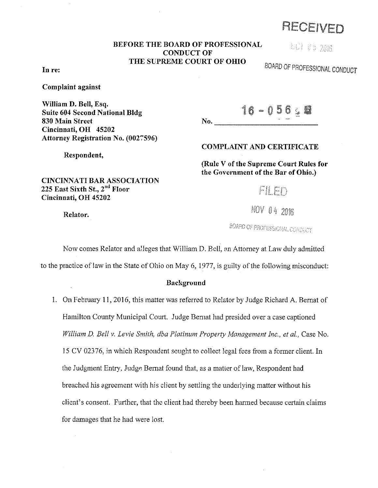# RECEIVED

### **BEFORE THE BOARD OF PROFESSIONAL CONDUCT OF THE SUPREME COURT OF OHIO**

UUI 05 2016

BOARD OF PROFESSIONAL CONDUCT

#### **In re:**

**Complaint against** 

**William D. Bell, Esq. Suite 604 Second National Bldg 830 Main Street Cincinnati, OH 45202 Attorney Registration No. (0027596)** 

16-056 28  $No.$ 

**COMPLAINT AND CERTIFICATE** 

**(Rule V of the Supreme Court Rules for the Government of the Bar of Ohio.)** 

FILED

NOV 04 2016

BOARD OF PROFESSIONAL CONDUCT

Now comes Relator and alleges that William D. Bell, an Attorney at Law duly admitted

to the practice of law in the State of Ohio on May 6, 1977, is guilty of the following misconduct:

#### **Background**

1. On February 11, 2016, this matter was referred to Relator by Judge Richard A. Bernat of Hamilton County Municipal Court. Judge Bernat had presided over a case captioned *William* D. *Bell v. Levie Smith, dba Platinum Property Management Inc., et al.,* Case No. 15 CV 02376, in which Respondent sought to collect legal fees from a former client. In the Judgment Entry, Judge Bernat found that, as a matter of law, Respondent had breached his agreement with his client by settling the underlying matter without his client's consent. Further, that the client had thereby been hanned because certain claims for damages that he had were lost.

**CINCINNATI BAR ASSOCIATION 225 East Sixth** St., 2"d **Floor Cincinnati, OH 45202** 

**Relator.** 

**Respondent,**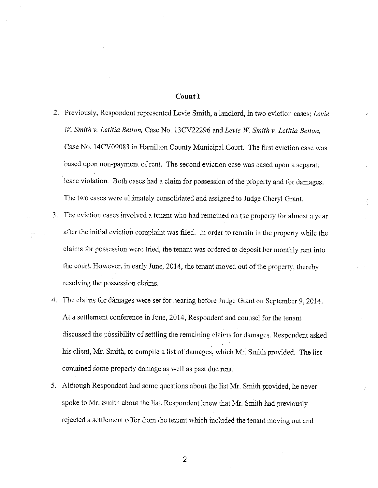#### **Count I**

- 2. Previously, Respondent represented Levie Smith, a landlord, in two eviction cases: *Levie*  W: *Smith v. Letitia Betton,* Case No. 13CV22296 and *Levie* W. *Smith v. Letitia Betton,*  Case No. 14CV09083 in Hamilton County Municipal Court. The first eviction case was based upon non-payment of rent. The second eviction case was based upon a separate lease violation. Both cases had a claim for possession of the property and for damages. The two cases were ultimately consolidated and assigned to Judge Cheryl Grant.
- 3. The eviction cases involved a tenant who had remained on the property for almost a yeat after the initial eviction complaint was filed. In order to remain in the property while the claims for possession were tried, the tenant was ordered to deposit her monthly rent into the court. However, in early June, 2014, the tenant moved out of the property, thereby resolving the possession claims.
- 4. The claims for damages were set for hearing before JnJge Grant on September 9, 2014. At a settlement conference in June, 2014, Respondent and counsel for the tenant discussed the possibility of settling the remaining claims for damages. Respondent asked his client, Mr. Smith, to compile a list of damages, which Mr. Smith provided. The list contained some property damage as well as past due rent.
- 5. Although Respondent had some questions about the list Mr. Smith provided, he never spoke to Mr. Smith about the list. Respondent knew that Mr. Smith had previously rejected a settlement offer from the tenant which included the tenant moving out and

2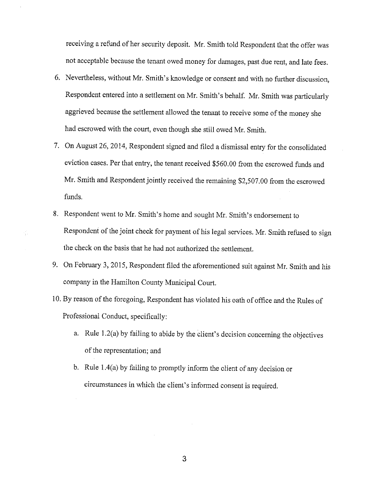receiving a refund of her security deposit. Mr. Smith told Respondent that the offer was not acceptable because the tenant owed money for damages, past due rent, and late fees.

- 6. Nevertheless, without Mr. Smith's knowledge or consent and with no further discussion, Respondent entered into a settlement on Mr. Smith's behalf. Mr. Smith was particularly aggrieved because the settlement allowed the tenant to receive some of the money she had escrowed with the court, even though she still owed Mr. Smith.
- 7. On August 26, 2014, Respondent signed and filed a dismissal entry for the consolidated eviction cases. Per that entry, the tenant received \$560.00 from the escrowed funds and Mr. Smith and Respondent jointly received the remaining \$2,507.00 from the escrowed funds.
- 8. Respondent went to Mr. Smith's home and sought Mr. Smith's endorsement to Respondent of the joint check for payment of his legal services. Mr. Smith refused to sign the check on the basis that he had not authorized the settlement.
- 9. On February 3, 2015, Respondent filed the aforementioned suit against Mr. Smith and his company in the Hamilton County Municipal Court.
- 10. By reason of the foregoing, Respondent has violated his oath of office and the Rules of Professional Conduct, specifically:
	- a. Rule  $1.2(a)$  by failing to abide by the client's decision concerning the objectives of the representation; and
	- b. Rule 1.4(a) by failing to promptly inform the client of any decision or circumstances in which the client's informed consent is required.

3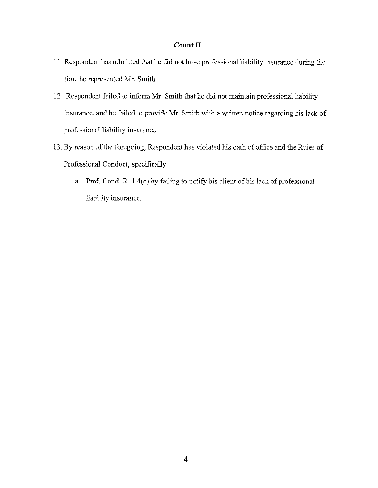## **Couut II**

- 11. Respondent has admitted that he did not have professional liability insurance during the time he represented Mr. Smith.
- 12. Respondent failed to inform Mr. Smith that he did not maintain professional liability insurance, and he failed to provide Mr. Smith with a written notice regarding his lack of professional liability insurance.
- 13. By reason of the foregoing, Respondent has violated his oath of office and the Rules of Professional Conduct, specifically:
	- a. Prof. Cond. R. l.4(c) by failing to notify his client of his lack of professional liability insurance.

 $\mathcal{A}^{\pm}$ 

 $\bar{z}$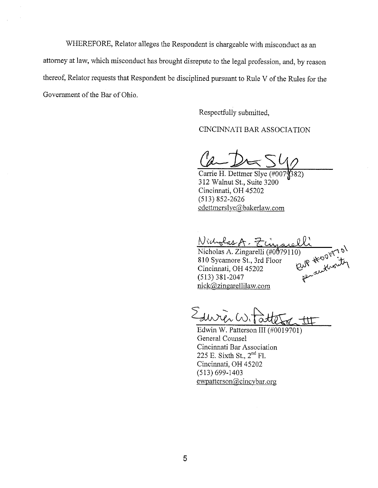WHEREFORE, Relator alleges the Respondent is chargeable with misconduct as an attorney at law, which misconduct has brought disrepute to the legal profession, and, by reason thereof, Relator requests that Respondent be disciplined pursuant to Rule V of the Rules for the Government of the Bar of Ohio.

Respectfully submitted,

CINCINNATI BAR ASSOCIATION

Carrie H. Dettmer Slye (#007) 382) 312 Walnut St., Suite 3200 Cincinnati, OH 45202 (513) 852-2626 cdettmerslye@bakerlaw.com

Nicholas A. Zin

Nicholas A. Zingarelli (#0079110)<br>810 Sycamore St., 3rd Floor<br>Cincinnati, OH 45202  $(513)$  381-2047 nick@zingarellilaw.com

 $\sum_{\mu\nu}$ 

Edwin W. Patterson III (#0019701) General Counsel Cincinnati Bar Association 225 E. Sixth St.,  $2<sup>nd</sup>$  Fl. Cincinnati, OH 45202 (513) 699-1403 ewpatterson@cincybar.org